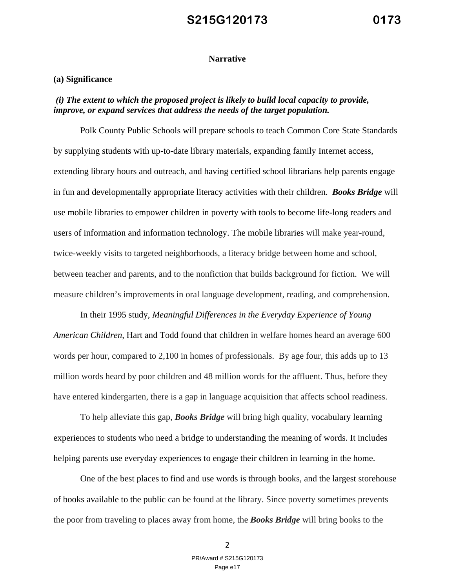#### **Narrative**

#### **(a) Significance**

#### *(i) The extent to which the proposed project is likely to build local capacity to provide, improve, or expand services that address the needs of the target population.*

Polk County Public Schools will prepare schools to teach Common Core State Standards by supplying students with up-to-date library materials, expanding family Internet access, extending library hours and outreach, and having certified school librarians help parents engage in fun and developmentally appropriate literacy activities with their children. *Books Bridge* will use mobile libraries to empower children in poverty with tools to become life-long readers and users of information and information technology. The mobile libraries will make year-round, twice-weekly visits to targeted neighborhoods, a literacy bridge between home and school, between teacher and parents, and to the nonfiction that builds background for fiction. We will measure children's improvements in oral language development, reading, and comprehension.

In their 1995 study, *Meaningful Differences in the Everyday Experience of Young American Children*, Hart and Todd found that children in welfare homes heard an average 600 words per hour, compared to 2,100 in homes of professionals. By age four, this adds up to 13 million words heard by poor children and 48 million words for the affluent. Thus, before they have entered kindergarten, there is a gap in language acquisition that affects school readiness.

To help alleviate this gap, *Books Bridge* will bring high quality, vocabulary learning experiences to students who need a bridge to understanding the meaning of words. It includes helping parents use everyday experiences to engage their children in learning in the home.

One of the best places to find and use words is through books, and the largest storehouse of books available to the public can be found at the library. Since poverty sometimes prevents the poor from traveling to places away from home, the *Books Bridge* will bring books to the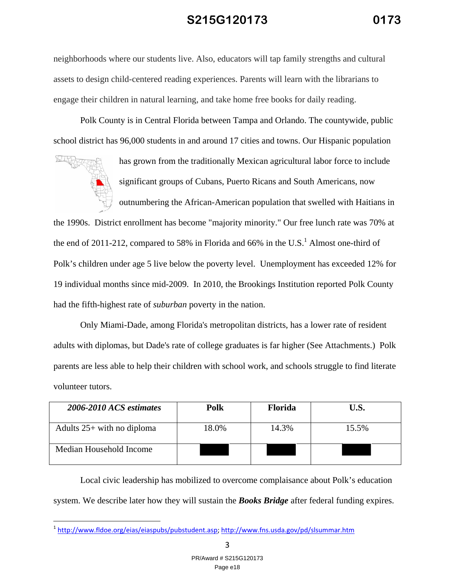neighborhoods where our students live. Also, educators will tap family strengths and cultural assets to design child-centered reading experiences. Parents will learn with the librarians to engage their children in natural learning, and take home free books for daily reading.

Polk County is in Central Florida between Tampa and Orlando. The countywide, public school district has 96,000 students in and around 17 cities and towns. Our Hispanic population



has grown from the traditionally Mexican agricultural labor force to include significant groups of Cubans, Puerto Ricans and South Americans, now outnumbering the African-American population that swelled with Haitians in

the 1990s. District enrollment has become "majority minority." Our free lunch rate was 70% at the end of 2011-212, compared to 58% in Florida and 66% in the U.S.<sup>1</sup> Almost one-third of Polk's children under age 5 live below the poverty level. Unemployment has exceeded 12% for 19 individual months since mid-2009. In 2010, the Brookings Institution reported Polk County had the fifth-highest rate of *suburban* poverty in the nation.

Only Miami-Dade, among Florida's metropolitan districts, has a lower rate of resident adults with diplomas, but Dade's rate of college graduates is far higher (See Attachments.) Polk parents are less able to help their children with school work, and schools struggle to find literate volunteer tutors.

| 2006-2010 ACS estimates      | Polk  | <b>Florida</b> | U.S.  |
|------------------------------|-------|----------------|-------|
| Adults $25+$ with no diploma | 18.0% | 14.3%          | 15.5% |
| Median Household Income      |       |                |       |

Local civic leadership has mobilized to overcome complaisance about Polk's education system. We describe later how they will sustain the *Books Bridge* after federal funding expires.

3

<sup>&</sup>lt;sup>1</sup> http://www.fldoe.org/eias/eiaspubs/pubstudent.asp; http://www.fns.usda.gov/pd/slsummar.htm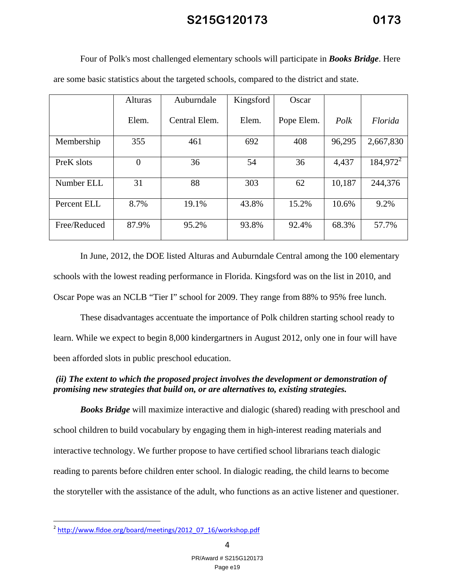| are some basic statistics about the targeted schools, compared to the district and state. |                |               |           |            |        |             |  |  |  |
|-------------------------------------------------------------------------------------------|----------------|---------------|-----------|------------|--------|-------------|--|--|--|
|                                                                                           | <b>Alturas</b> | Auburndale    | Kingsford | Oscar      |        |             |  |  |  |
|                                                                                           | Elem.          | Central Elem. | Elem.     | Pope Elem. | Polk   | Florida     |  |  |  |
| Membership                                                                                | 355            | 461           | 692       | 408        | 96,295 | 2,667,830   |  |  |  |
| PreK slots                                                                                | $\overline{0}$ | 36            | 54        | 36         | 4,437  | $184,972^2$ |  |  |  |
| Number ELL                                                                                | 31             | 88            | 303       | 62         | 10,187 | 244,376     |  |  |  |
| Percent ELL                                                                               | 8.7%           | 19.1%         | 43.8%     | 15.2%      | 10.6%  | 9.2%        |  |  |  |
| Free/Reduced                                                                              | 87.9%          | 95.2%         | 93.8%     | 92.4%      | 68.3%  | 57.7%       |  |  |  |

Four of Polk's most challenged elementary schools will participate in *Books Bridge*. Here

In June, 2012, the DOE listed Alturas and Auburndale Central among the 100 elementary schools with the lowest reading performance in Florida. Kingsford was on the list in 2010, and Oscar Pope was an NCLB "Tier I" school for 2009. They range from 88% to 95% free lunch.

These disadvantages accentuate the importance of Polk children starting school ready to learn. While we expect to begin 8,000 kindergartners in August 2012, only one in four will have been afforded slots in public preschool education.

### *(ii) The extent to which the proposed project involves the development or demonstration of promising new strategies that build on, or are alternatives to, existing strategies.*

*Books Bridge* will maximize interactive and dialogic (shared) reading with preschool and school children to build vocabulary by engaging them in high-interest reading materials and interactive technology. We further propose to have certified school librarians teach dialogic reading to parents before children enter school. In dialogic reading, the child learns to become the storyteller with the assistance of the adult, who functions as an active listener and questioner.

4

<sup>&</sup>lt;sup>2</sup> http://www.fldoe.org/board/meetings/2012\_07\_16/workshop.pdf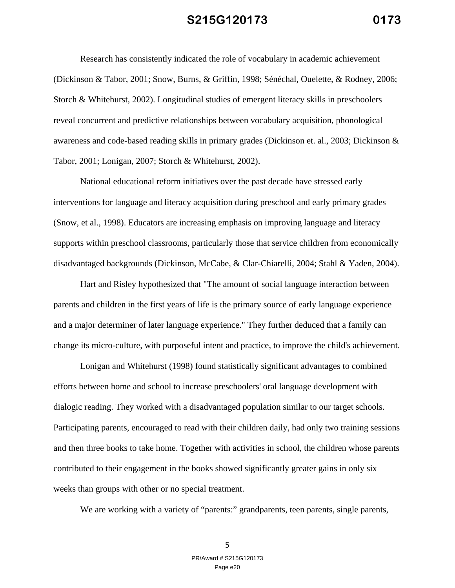Research has consistently indicated the role of vocabulary in academic achievement (Dickinson & Tabor, 2001; Snow, Burns, & Griffin, 1998; Sénéchal, Ouelette, & Rodney, 2006; Storch & Whitehurst, 2002). Longitudinal studies of emergent literacy skills in preschoolers reveal concurrent and predictive relationships between vocabulary acquisition, phonological awareness and code-based reading skills in primary grades (Dickinson et. al., 2003; Dickinson & Tabor, 2001; Lonigan, 2007; Storch & Whitehurst, 2002).

National educational reform initiatives over the past decade have stressed early interventions for language and literacy acquisition during preschool and early primary grades (Snow, et al., 1998). Educators are increasing emphasis on improving language and literacy supports within preschool classrooms, particularly those that service children from economically disadvantaged backgrounds (Dickinson, McCabe, & Clar-Chiarelli, 2004; Stahl & Yaden, 2004).

Hart and Risley hypothesized that "The amount of social language interaction between parents and children in the first years of life is the primary source of early language experience and a major determiner of later language experience." They further deduced that a family can change its micro-culture, with purposeful intent and practice, to improve the child's achievement.

Lonigan and Whitehurst (1998) found statistically significant advantages to combined efforts between home and school to increase preschoolers' oral language development with dialogic reading. They worked with a disadvantaged population similar to our target schools. Participating parents, encouraged to read with their children daily, had only two training sessions and then three books to take home. Together with activities in school, the children whose parents contributed to their engagement in the books showed significantly greater gains in only six weeks than groups with other or no special treatment.

We are working with a variety of "parents:" grandparents, teen parents, single parents,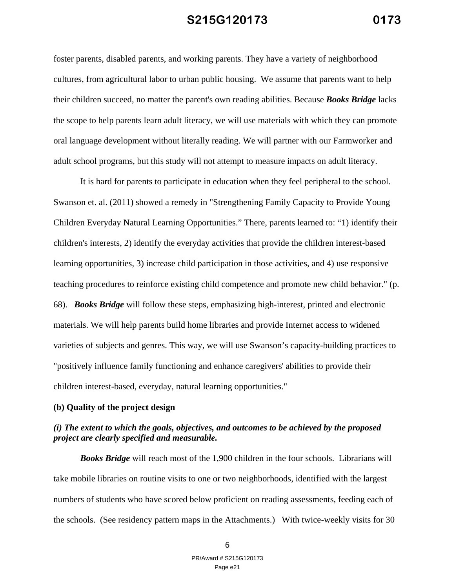foster parents, disabled parents, and working parents. They have a variety of neighborhood cultures, from agricultural labor to urban public housing. We assume that parents want to help their children succeed, no matter the parent's own reading abilities. Because *Books Bridge* lacks the scope to help parents learn adult literacy, we will use materials with which they can promote oral language development without literally reading. We will partner with our Farmworker and adult school programs, but this study will not attempt to measure impacts on adult literacy.

It is hard for parents to participate in education when they feel peripheral to the school. Swanson et. al. (2011) showed a remedy in "Strengthening Family Capacity to Provide Young Children Everyday Natural Learning Opportunities." There, parents learned to: "1) identify their children's interests, 2) identify the everyday activities that provide the children interest-based learning opportunities, 3) increase child participation in those activities, and 4) use responsive teaching procedures to reinforce existing child competence and promote new child behavior." (p. 68). *Books Bridge* will follow these steps, emphasizing high-interest, printed and electronic materials. We will help parents build home libraries and provide Internet access to widened varieties of subjects and genres. This way, we will use Swanson's capacity-building practices to "positively influence family functioning and enhance caregivers' abilities to provide their children interest-based, everyday, natural learning opportunities."

#### **(b) Quality of the project design**

### *(i) The extent to which the goals, objectives, and outcomes to be achieved by the proposed project are clearly specified and measurable.*

*Books Bridge* will reach most of the 1,900 children in the four schools. Librarians will take mobile libraries on routine visits to one or two neighborhoods, identified with the largest numbers of students who have scored below proficient on reading assessments, feeding each of the schools. (See residency pattern maps in the Attachments.) With twice-weekly visits for 30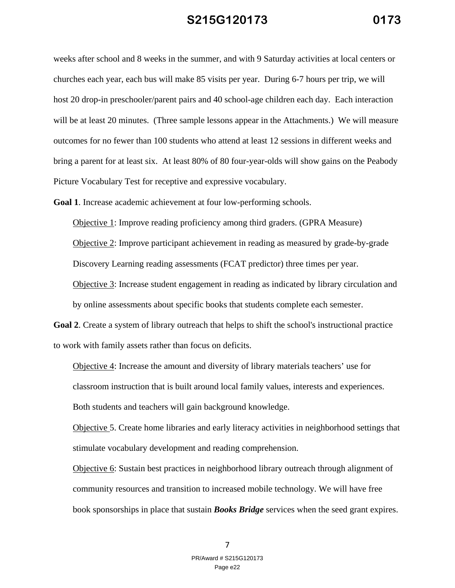weeks after school and 8 weeks in the summer, and with 9 Saturday activities at local centers or churches each year, each bus will make 85 visits per year. During 6-7 hours per trip, we will host 20 drop-in preschooler/parent pairs and 40 school-age children each day. Each interaction will be at least 20 minutes. (Three sample lessons appear in the Attachments.) We will measure outcomes for no fewer than 100 students who attend at least 12 sessions in different weeks and bring a parent for at least six. At least 80% of 80 four-year-olds will show gains on the Peabody Picture Vocabulary Test for receptive and expressive vocabulary.

**Goal 1**. Increase academic achievement at four low-performing schools.

Objective 1: Improve reading proficiency among third graders. (GPRA Measure) Objective 2: Improve participant achievement in reading as measured by grade-by-grade Discovery Learning reading assessments (FCAT predictor) three times per year. Objective 3: Increase student engagement in reading as indicated by library circulation and by online assessments about specific books that students complete each semester.

**Goal 2**. Create a system of library outreach that helps to shift the school's instructional practice to work with family assets rather than focus on deficits.

Objective 4: Increase the amount and diversity of library materials teachers' use for classroom instruction that is built around local family values, interests and experiences. Both students and teachers will gain background knowledge.

Objective 5. Create home libraries and early literacy activities in neighborhood settings that stimulate vocabulary development and reading comprehension.

Objective 6: Sustain best practices in neighborhood library outreach through alignment of community resources and transition to increased mobile technology. We will have free book sponsorships in place that sustain *Books Bridge* services when the seed grant expires.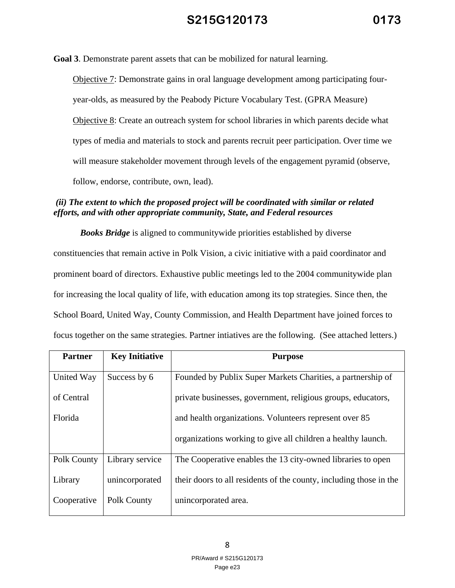**Goal 3**. Demonstrate parent assets that can be mobilized for natural learning.

Objective 7: Demonstrate gains in oral language development among participating fouryear-olds, as measured by the Peabody Picture Vocabulary Test. (GPRA Measure) Objective 8: Create an outreach system for school libraries in which parents decide what types of media and materials to stock and parents recruit peer participation. Over time we will measure stakeholder movement through levels of the engagement pyramid (observe, follow, endorse, contribute, own, lead).

### *(ii) The extent to which the proposed project will be coordinated with similar or related efforts, and with other appropriate community, State, and Federal resources*

*Books Bridge* is aligned to communitywide priorities established by diverse constituencies that remain active in Polk Vision, a civic initiative with a paid coordinator and prominent board of directors. Exhaustive public meetings led to the 2004 communitywide plan for increasing the local quality of life, with education among its top strategies. Since then, the School Board, United Way, County Commission, and Health Department have joined forces to focus together on the same strategies. Partner intiatives are the following. (See attached letters.)

| <b>Partner</b> | <b>Key Initiative</b> | <b>Purpose</b>                                                     |
|----------------|-----------------------|--------------------------------------------------------------------|
| United Way     | Success by 6          | Founded by Publix Super Markets Charities, a partnership of        |
| of Central     |                       | private businesses, government, religious groups, educators,       |
| Florida        |                       | and health organizations. Volunteers represent over 85             |
|                |                       | organizations working to give all children a healthy launch.       |
| Polk County    | Library service       | The Cooperative enables the 13 city-owned libraries to open        |
| Library        | unincorporated        | their doors to all residents of the county, including those in the |
| Cooperative    | Polk County           | unincorporated area.                                               |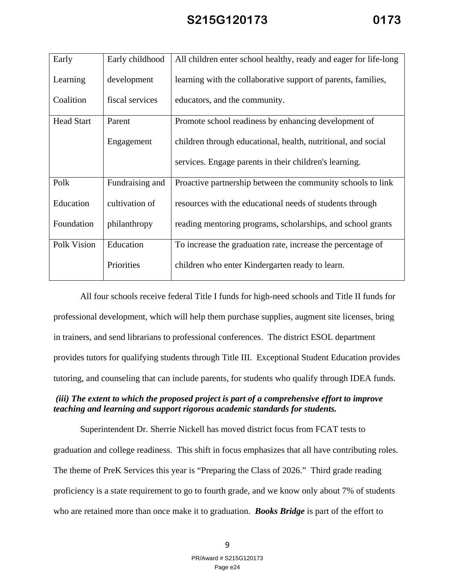| Early             | Early childhood | All children enter school healthy, ready and eager for life-long |
|-------------------|-----------------|------------------------------------------------------------------|
| Learning          | development     | learning with the collaborative support of parents, families,    |
| Coalition         | fiscal services | educators, and the community.                                    |
| <b>Head Start</b> | Parent          | Promote school readiness by enhancing development of             |
|                   | Engagement      | children through educational, health, nutritional, and social    |
|                   |                 | services. Engage parents in their children's learning.           |
| Polk              | Fundraising and | Proactive partnership between the community schools to link      |
| Education         | cultivation of  | resources with the educational needs of students through         |
| Foundation        | philanthropy    | reading mentoring programs, scholarships, and school grants      |
| Polk Vision       | Education       | To increase the graduation rate, increase the percentage of      |
|                   | Priorities      | children who enter Kindergarten ready to learn.                  |

All four schools receive federal Title I funds for high-need schools and Title II funds for professional development, which will help them purchase supplies, augment site licenses, bring in trainers, and send librarians to professional conferences. The district ESOL department provides tutors for qualifying students through Title III. Exceptional Student Education provides tutoring, and counseling that can include parents, for students who qualify through IDEA funds.

#### *(iii) The extent to which the proposed project is part of a comprehensive effort to improve teaching and learning and support rigorous academic standards for students.*

Superintendent Dr. Sherrie Nickell has moved district focus from FCAT tests to graduation and college readiness. This shift in focus emphasizes that all have contributing roles. The theme of PreK Services this year is "Preparing the Class of 2026." Third grade reading proficiency is a state requirement to go to fourth grade, and we know only about 7% of students who are retained more than once make it to graduation. *Books Bridge* is part of the effort to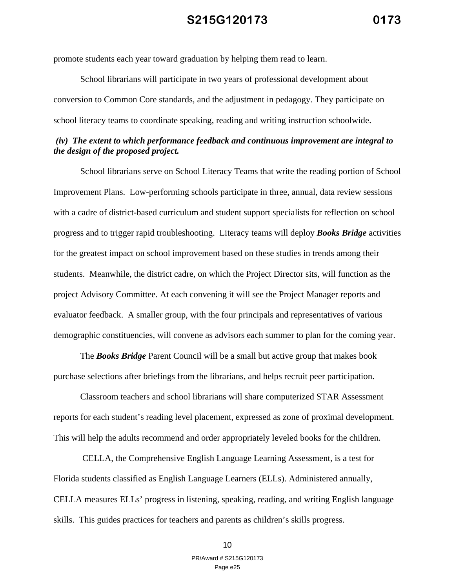promote students each year toward graduation by helping them read to learn.

School librarians will participate in two years of professional development about conversion to Common Core standards, and the adjustment in pedagogy. They participate on school literacy teams to coordinate speaking, reading and writing instruction schoolwide.

#### *(iv) The extent to which performance feedback and continuous improvement are integral to the design of the proposed project.*

School librarians serve on School Literacy Teams that write the reading portion of School Improvement Plans. Low-performing schools participate in three, annual, data review sessions with a cadre of district-based curriculum and student support specialists for reflection on school progress and to trigger rapid troubleshooting. Literacy teams will deploy *Books Bridge* activities for the greatest impact on school improvement based on these studies in trends among their students. Meanwhile, the district cadre, on which the Project Director sits, will function as the project Advisory Committee. At each convening it will see the Project Manager reports and evaluator feedback. A smaller group, with the four principals and representatives of various demographic constituencies, will convene as advisors each summer to plan for the coming year.

The *Books Bridge* Parent Council will be a small but active group that makes book purchase selections after briefings from the librarians, and helps recruit peer participation.

Classroom teachers and school librarians will share computerized STAR Assessment reports for each student's reading level placement, expressed as zone of proximal development. This will help the adults recommend and order appropriately leveled books for the children.

 CELLA, the Comprehensive English Language Learning Assessment, is a test for Florida students classified as English Language Learners (ELLs). Administered annually, CELLA measures ELLs' progress in listening, speaking, reading, and writing English language skills. This guides practices for teachers and parents as children's skills progress.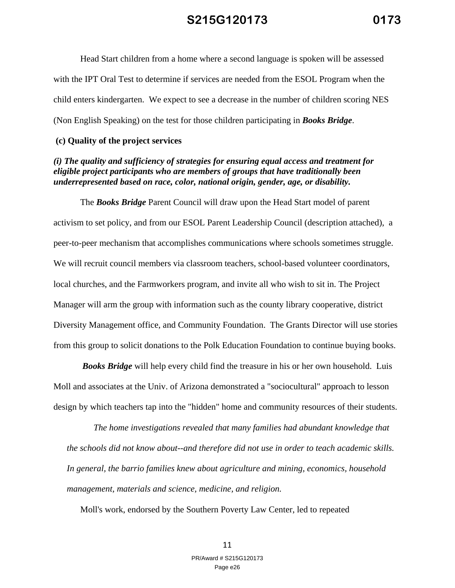Head Start children from a home where a second language is spoken will be assessed with the IPT Oral Test to determine if services are needed from the ESOL Program when the child enters kindergarten. We expect to see a decrease in the number of children scoring NES (Non English Speaking) on the test for those children participating in *Books Bridge*.

#### **(c) Quality of the project services**

#### *(i) The quality and sufficiency of strategies for ensuring equal access and treatment for eligible project participants who are members of groups that have traditionally been underrepresented based on race, color, national origin, gender, age, or disability.*

The *Books Bridge* Parent Council will draw upon the Head Start model of parent activism to set policy, and from our ESOL Parent Leadership Council (description attached), a peer-to-peer mechanism that accomplishes communications where schools sometimes struggle. We will recruit council members via classroom teachers, school-based volunteer coordinators, local churches, and the Farmworkers program, and invite all who wish to sit in. The Project Manager will arm the group with information such as the county library cooperative, district Diversity Management office, and Community Foundation. The Grants Director will use stories from this group to solicit donations to the Polk Education Foundation to continue buying books.

*Books Bridge* will help every child find the treasure in his or her own household. Luis Moll and associates at the Univ. of Arizona demonstrated a "sociocultural" approach to lesson design by which teachers tap into the "hidden" home and community resources of their students.

*The home investigations revealed that many families had abundant knowledge that the schools did not know about--and therefore did not use in order to teach academic skills. In general, the barrio families knew about agriculture and mining, economics, household management, materials and science, medicine, and religion.* 

Moll's work, endorsed by the Southern Poverty Law Center, led to repeated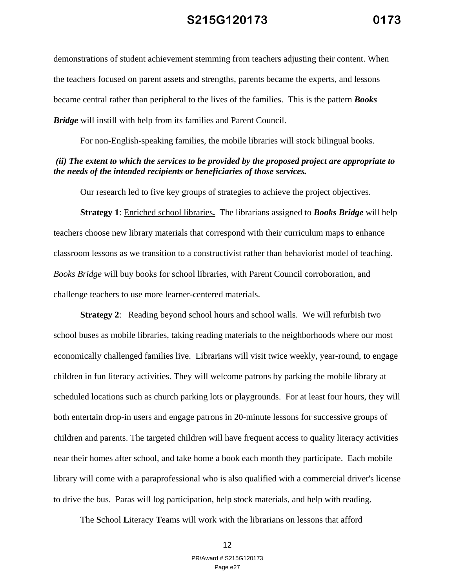demonstrations of student achievement stemming from teachers adjusting their content. When the teachers focused on parent assets and strengths, parents became the experts, and lessons became central rather than peripheral to the lives of the families. This is the pattern *Books Bridge* will instill with help from its families and Parent Council.

For non-English-speaking families, the mobile libraries will stock bilingual books.

#### *(ii) The extent to which the services to be provided by the proposed project are appropriate to the needs of the intended recipients or beneficiaries of those services.*

Our research led to five key groups of strategies to achieve the project objectives.

**Strategy 1**: Enriched school libraries**.** The librarians assigned to *Books Bridge* will help teachers choose new library materials that correspond with their curriculum maps to enhance classroom lessons as we transition to a constructivist rather than behaviorist model of teaching. *Books Bridge* will buy books for school libraries, with Parent Council corroboration, and challenge teachers to use more learner-centered materials.

**Strategy 2:** Reading beyond school hours and school walls. We will refurbish two school buses as mobile libraries, taking reading materials to the neighborhoods where our most economically challenged families live. Librarians will visit twice weekly, year-round, to engage children in fun literacy activities. They will welcome patrons by parking the mobile library at scheduled locations such as church parking lots or playgrounds. For at least four hours, they will both entertain drop-in users and engage patrons in 20-minute lessons for successive groups of children and parents. The targeted children will have frequent access to quality literacy activities near their homes after school, and take home a book each month they participate. Each mobile library will come with a paraprofessional who is also qualified with a commercial driver's license to drive the bus. Paras will log participation, help stock materials, and help with reading.

The **S**chool **L**iteracy **T**eams will work with the librarians on lessons that afford

#### 12 PR/Award # S215G120173 Page e27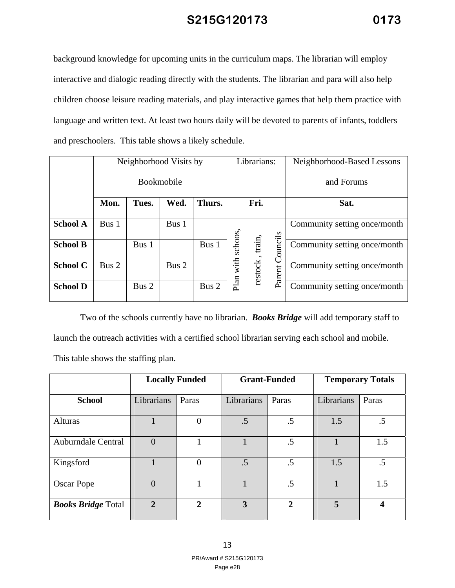background knowledge for upcoming units in the curriculum maps. The librarian will employ interactive and dialogic reading directly with the students. The librarian and para will also help children choose leisure reading materials, and play interactive games that help them practice with language and written text. At least two hours daily will be devoted to parents of infants, toddlers and preschoolers. This table shows a likely schedule.

|                 | Neighborhood Visits by |       |       |        |              | Librarians: |         | Neighborhood-Based Lessons   |
|-----------------|------------------------|-------|-------|--------|--------------|-------------|---------|------------------------------|
|                 | Bookmobile             |       |       |        |              |             |         | and Forums                   |
|                 | Mon.                   | Tues. | Wed.  | Thurs. | Fri.         |             |         | Sat.                         |
| <b>School A</b> | Bus 1                  |       | Bus 1 |        |              |             |         | Community setting once/month |
| <b>School B</b> |                        | Bus 1 |       | Bus 1  | with schoos, | train,      | ouncils | Community setting once/month |
| <b>School C</b> | Bus 2                  |       | Bus 2 |        |              | restock     | Parent  | Community setting once/month |
| <b>School D</b> |                        | Bus 2 |       | Bus 2  | Plan         |             |         | Community setting once/month |

Two of the schools currently have no librarian. *Books Bridge* will add temporary staff to launch the outreach activities with a certified school librarian serving each school and mobile.

This table shows the staffing plan.

|                           |                | <b>Locally Funded</b> |                         | <b>Grant-Funded</b> |            | <b>Temporary Totals</b> |
|---------------------------|----------------|-----------------------|-------------------------|---------------------|------------|-------------------------|
| <b>School</b>             | Librarians     | Paras                 | Librarians              | Paras               | Librarians | Paras                   |
| Alturas                   |                | $\Omega$              | .5                      | .5                  | 1.5        | $.5\,$                  |
| <b>Auburndale Central</b> | $\theta$       |                       |                         | .5                  |            | 1.5                     |
| Kingsford                 |                | $\overline{0}$        | .5                      | .5                  | 1.5        | .5                      |
| Oscar Pope                | $\theta$       |                       |                         | .5                  |            | 1.5                     |
| <b>Books Bridge Total</b> | $\overline{2}$ | $\overline{2}$        | $\overline{\mathbf{3}}$ | $\mathbf{2}$        | 5          | 4                       |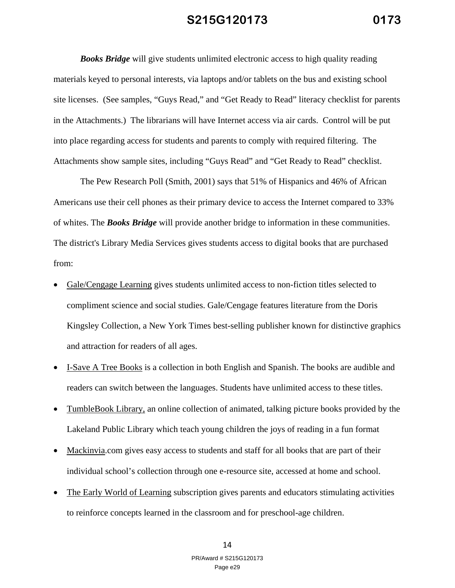*Books Bridge* will give students unlimited electronic access to high quality reading materials keyed to personal interests, via laptops and/or tablets on the bus and existing school site licenses. (See samples, "Guys Read," and "Get Ready to Read" literacy checklist for parents in the Attachments.) The librarians will have Internet access via air cards. Control will be put into place regarding access for students and parents to comply with required filtering. The Attachments show sample sites, including "Guys Read" and "Get Ready to Read" checklist.

The Pew Research Poll (Smith, 2001) says that 51% of Hispanics and 46% of African Americans use their cell phones as their primary device to access the Internet compared to 33% of whites. The *Books Bridge* will provide another bridge to information in these communities. The district's Library Media Services gives students access to digital books that are purchased from:

- Gale/Cengage Learning gives students unlimited access to non-fiction titles selected to compliment science and social studies. Gale/Cengage features literature from the Doris Kingsley Collection, a New York Times best-selling publisher known for distinctive graphics and attraction for readers of all ages.
- I-Save A Tree Books is a collection in both English and Spanish. The books are audible and readers can switch between the languages. Students have unlimited access to these titles.
- TumbleBook Library, an online collection of animated, talking picture books provided by the Lakeland Public Library which teach young children the joys of reading in a fun format
- Mackinvia.com gives easy access to students and staff for all books that are part of their individual school's collection through one e-resource site, accessed at home and school.
- The Early World of Learning subscription gives parents and educators stimulating activities to reinforce concepts learned in the classroom and for preschool-age children.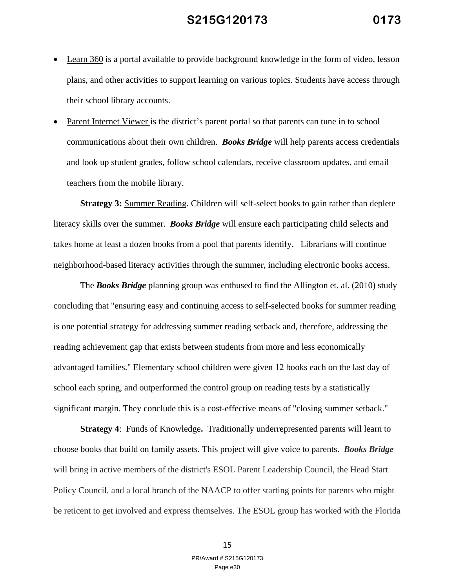- Learn 360 is a portal available to provide background knowledge in the form of video, lesson plans, and other activities to support learning on various topics. Students have access through their school library accounts.
- Parent Internet Viewer is the district's parent portal so that parents can tune in to school communications about their own children. *Books Bridge* will help parents access credentials and look up student grades, follow school calendars, receive classroom updates, and email teachers from the mobile library.

**Strategy 3:** Summer Reading**.** Children will self-select books to gain rather than deplete literacy skills over the summer. *Books Bridge* will ensure each participating child selects and takes home at least a dozen books from a pool that parents identify. Librarians will continue neighborhood-based literacy activities through the summer, including electronic books access.

The *Books Bridge* planning group was enthused to find the Allington et. al. (2010) study concluding that "ensuring easy and continuing access to self-selected books for summer reading is one potential strategy for addressing summer reading setback and, therefore, addressing the reading achievement gap that exists between students from more and less economically advantaged families." Elementary school children were given 12 books each on the last day of school each spring, and outperformed the control group on reading tests by a statistically significant margin. They conclude this is a cost-effective means of "closing summer setback."

**Strategy 4**: Funds of Knowledge**.** Traditionally underrepresented parents will learn to choose books that build on family assets. This project will give voice to parents. *Books Bridge* will bring in active members of the district's ESOL Parent Leadership Council, the Head Start Policy Council, and a local branch of the NAACP to offer starting points for parents who might be reticent to get involved and express themselves. The ESOL group has worked with the Florida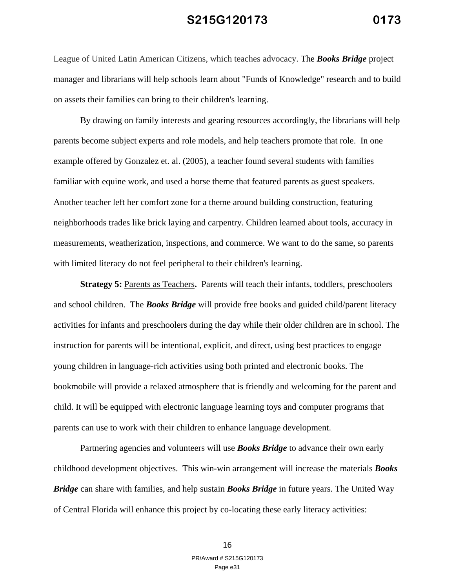League of United Latin American Citizens, which teaches advocacy. The *Books Bridge* project manager and librarians will help schools learn about "Funds of Knowledge" research and to build on assets their families can bring to their children's learning.

By drawing on family interests and gearing resources accordingly, the librarians will help parents become subject experts and role models, and help teachers promote that role. In one example offered by Gonzalez et. al. (2005), a teacher found several students with families familiar with equine work, and used a horse theme that featured parents as guest speakers. Another teacher left her comfort zone for a theme around building construction, featuring neighborhoods trades like brick laying and carpentry. Children learned about tools, accuracy in measurements, weatherization, inspections, and commerce. We want to do the same, so parents with limited literacy do not feel peripheral to their children's learning.

**Strategy 5: Parents as Teachers. Parents will teach their infants, toddlers, preschoolers** and school children. The *Books Bridge* will provide free books and guided child/parent literacy activities for infants and preschoolers during the day while their older children are in school. The instruction for parents will be intentional, explicit, and direct, using best practices to engage young children in language-rich activities using both printed and electronic books. The bookmobile will provide a relaxed atmosphere that is friendly and welcoming for the parent and child. It will be equipped with electronic language learning toys and computer programs that parents can use to work with their children to enhance language development.

Partnering agencies and volunteers will use *Books Bridge* to advance their own early childhood development objectives. This win-win arrangement will increase the materials *Books Bridge* can share with families, and help sustain *Books Bridge* in future years. The United Way of Central Florida will enhance this project by co-locating these early literacy activities: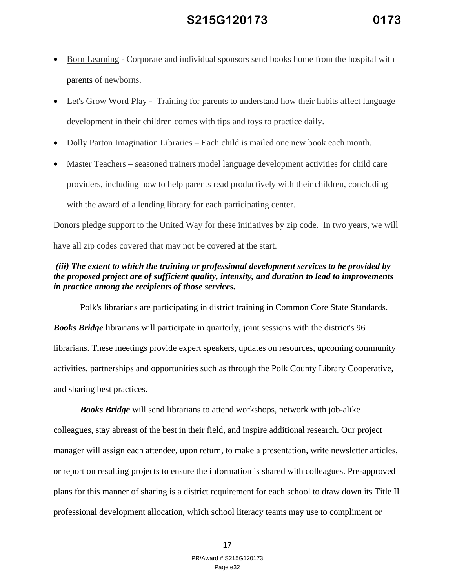- Born Learning Corporate and individual sponsors send books home from the hospital with parents of newborns.
- Let's Grow Word Play Training for parents to understand how their habits affect language development in their children comes with tips and toys to practice daily.
- Dolly Parton Imagination Libraries Each child is mailed one new book each month.
- Master Teachers seasoned trainers model language development activities for child care providers, including how to help parents read productively with their children, concluding with the award of a lending library for each participating center.

Donors pledge support to the United Way for these initiatives by zip code. In two years, we will have all zip codes covered that may not be covered at the start.

#### *(iii) The extent to which the training or professional development services to be provided by the proposed project are of sufficient quality, intensity, and duration to lead to improvements in practice among the recipients of those services.*

Polk's librarians are participating in district training in Common Core State Standards.

*Books Bridge* librarians will participate in quarterly, joint sessions with the district's 96 librarians. These meetings provide expert speakers, updates on resources, upcoming community activities, partnerships and opportunities such as through the Polk County Library Cooperative, and sharing best practices.

*Books Bridge* will send librarians to attend workshops, network with job-alike colleagues, stay abreast of the best in their field, and inspire additional research. Our project manager will assign each attendee, upon return, to make a presentation, write newsletter articles, or report on resulting projects to ensure the information is shared with colleagues. Pre-approved plans for this manner of sharing is a district requirement for each school to draw down its Title II professional development allocation, which school literacy teams may use to compliment or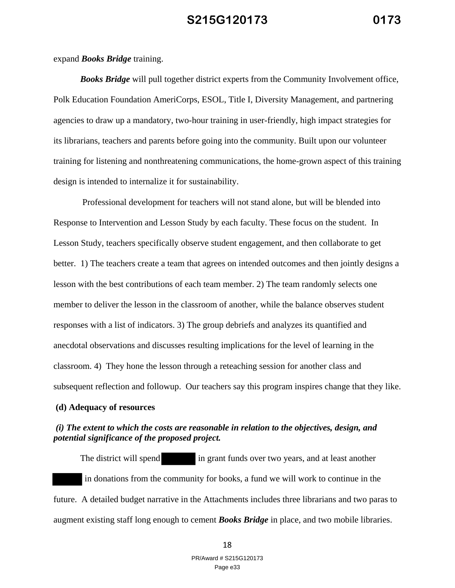expand *Books Bridge* training.

*Books Bridge* will pull together district experts from the Community Involvement office, Polk Education Foundation AmeriCorps, ESOL, Title I, Diversity Management, and partnering agencies to draw up a mandatory, two-hour training in user-friendly, high impact strategies for its librarians, teachers and parents before going into the community. Built upon our volunteer training for listening and nonthreatening communications, the home-grown aspect of this training design is intended to internalize it for sustainability.

 Professional development for teachers will not stand alone, but will be blended into Response to Intervention and Lesson Study by each faculty. These focus on the student. In Lesson Study, teachers specifically observe student engagement, and then collaborate to get better. 1) The teachers create a team that agrees on intended outcomes and then jointly designs a lesson with the best contributions of each team member. 2) The team randomly selects one member to deliver the lesson in the classroom of another, while the balance observes student responses with a list of indicators. 3) The group debriefs and analyzes its quantified and anecdotal observations and discusses resulting implications for the level of learning in the classroom. 4) They hone the lesson through a reteaching session for another class and subsequent reflection and followup. Our teachers say this program inspires change that they like.

#### **(d) Adequacy of resources**

#### *(i) The extent to which the costs are reasonable in relation to the objectives, design, and potential significance of the proposed project.*

The district will spend in grant funds over two years, and at least another in donations from the community for books, a fund we will work to continue in the future. A detailed budget narrative in the Attachments includes three librarians and two paras to augment existing staff long enough to cement *Books Bridge* in place, and two mobile libraries.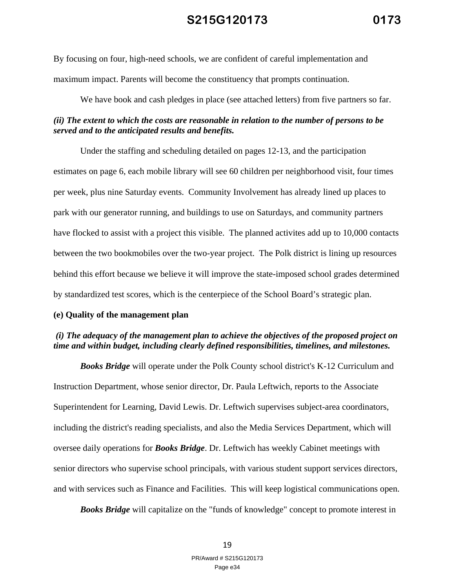By focusing on four, high-need schools, we are confident of careful implementation and maximum impact. Parents will become the constituency that prompts continuation.

We have book and cash pledges in place (see attached letters) from five partners so far.

#### *(ii) The extent to which the costs are reasonable in relation to the number of persons to be served and to the anticipated results and benefits.*

Under the staffing and scheduling detailed on pages 12-13, and the participation estimates on page 6, each mobile library will see 60 children per neighborhood visit, four times per week, plus nine Saturday events. Community Involvement has already lined up places to park with our generator running, and buildings to use on Saturdays, and community partners have flocked to assist with a project this visible. The planned activites add up to 10,000 contacts between the two bookmobiles over the two-year project. The Polk district is lining up resources behind this effort because we believe it will improve the state-imposed school grades determined by standardized test scores, which is the centerpiece of the School Board's strategic plan.

#### **(e) Quality of the management plan**

#### *(i) The adequacy of the management plan to achieve the objectives of the proposed project on time and within budget, including clearly defined responsibilities, timelines, and milestones.*

*Books Bridge* will operate under the Polk County school district's K-12 Curriculum and Instruction Department, whose senior director, Dr. Paula Leftwich, reports to the Associate Superintendent for Learning, David Lewis. Dr. Leftwich supervises subject-area coordinators, including the district's reading specialists, and also the Media Services Department, which will oversee daily operations for *Books Bridge*. Dr. Leftwich has weekly Cabinet meetings with senior directors who supervise school principals, with various student support services directors, and with services such as Finance and Facilities. This will keep logistical communications open.

*Books Bridge* will capitalize on the "funds of knowledge" concept to promote interest in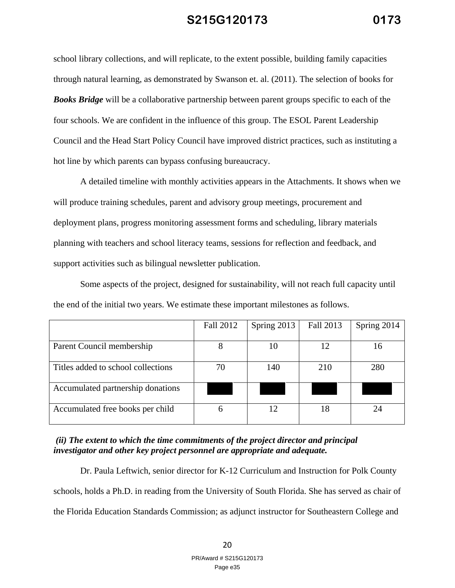school library collections, and will replicate, to the extent possible, building family capacities through natural learning, as demonstrated by Swanson et. al. (2011). The selection of books for *Books Bridge* will be a collaborative partnership between parent groups specific to each of the four schools. We are confident in the influence of this group. The ESOL Parent Leadership Council and the Head Start Policy Council have improved district practices, such as instituting a hot line by which parents can bypass confusing bureaucracy.

A detailed timeline with monthly activities appears in the Attachments. It shows when we will produce training schedules, parent and advisory group meetings, procurement and deployment plans, progress monitoring assessment forms and scheduling, library materials planning with teachers and school literacy teams, sessions for reflection and feedback, and support activities such as bilingual newsletter publication.

Some aspects of the project, designed for sustainability, will not reach full capacity until the end of the initial two years. We estimate these important milestones as follows.

|                                    | Fall 2012 | Spring 2013 | Fall 2013 | Spring 2014 |
|------------------------------------|-----------|-------------|-----------|-------------|
| Parent Council membership          | 8         | 10          | 12        | 16          |
| Titles added to school collections | 70        | 140         | 210       | 280         |
| Accumulated partnership donations  |           |             |           |             |
| Accumulated free books per child   | h         | 12          | 18        |             |

#### *(ii) The extent to which the time commitments of the project director and principal investigator and other key project personnel are appropriate and adequate.*

Dr. Paula Leftwich, senior director for K-12 Curriculum and Instruction for Polk County schools, holds a Ph.D. in reading from the University of South Florida. She has served as chair of the Florida Education Standards Commission; as adjunct instructor for Southeastern College and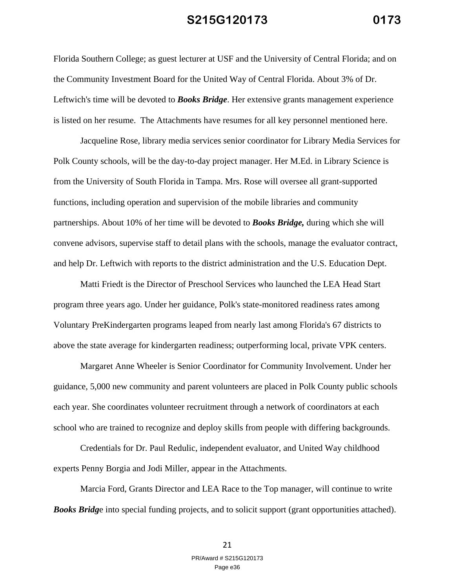Florida Southern College; as guest lecturer at USF and the University of Central Florida; and on the Community Investment Board for the United Way of Central Florida. About 3% of Dr. Leftwich's time will be devoted to *Books Bridge*. Her extensive grants management experience is listed on her resume. The Attachments have resumes for all key personnel mentioned here.

Jacqueline Rose, library media services senior coordinator for Library Media Services for Polk County schools, will be the day-to-day project manager. Her M.Ed. in Library Science is from the University of South Florida in Tampa. Mrs. Rose will oversee all grant-supported functions, including operation and supervision of the mobile libraries and community partnerships. About 10% of her time will be devoted to *Books Bridge,* during which she will convene advisors, supervise staff to detail plans with the schools, manage the evaluator contract, and help Dr. Leftwich with reports to the district administration and the U.S. Education Dept.

Matti Friedt is the Director of Preschool Services who launched the LEA Head Start program three years ago. Under her guidance, Polk's state-monitored readiness rates among Voluntary PreKindergarten programs leaped from nearly last among Florida's 67 districts to above the state average for kindergarten readiness; outperforming local, private VPK centers.

Margaret Anne Wheeler is Senior Coordinator for Community Involvement. Under her guidance, 5,000 new community and parent volunteers are placed in Polk County public schools each year. She coordinates volunteer recruitment through a network of coordinators at each school who are trained to recognize and deploy skills from people with differing backgrounds.

Credentials for Dr. Paul Redulic, independent evaluator, and United Way childhood experts Penny Borgia and Jodi Miller, appear in the Attachments.

Marcia Ford, Grants Director and LEA Race to the Top manager, will continue to write **Books Bridge** into special funding projects, and to solicit support (grant opportunities attached).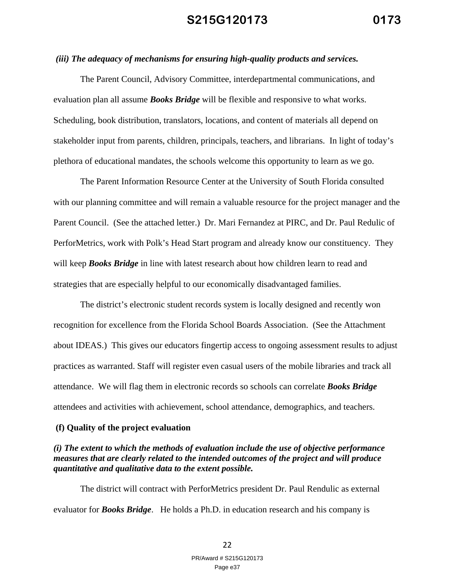#### *(iii) The adequacy of mechanisms for ensuring high-quality products and services.*

The Parent Council, Advisory Committee, interdepartmental communications, and evaluation plan all assume *Books Bridge* will be flexible and responsive to what works. Scheduling, book distribution, translators, locations, and content of materials all depend on stakeholder input from parents, children, principals, teachers, and librarians. In light of today's plethora of educational mandates, the schools welcome this opportunity to learn as we go.

The Parent Information Resource Center at the University of South Florida consulted with our planning committee and will remain a valuable resource for the project manager and the Parent Council. (See the attached letter.) Dr. Mari Fernandez at PIRC, and Dr. Paul Redulic of PerforMetrics, work with Polk's Head Start program and already know our constituency. They will keep *Books Bridge* in line with latest research about how children learn to read and strategies that are especially helpful to our economically disadvantaged families.

The district's electronic student records system is locally designed and recently won recognition for excellence from the Florida School Boards Association. (See the Attachment about IDEAS.) This gives our educators fingertip access to ongoing assessment results to adjust practices as warranted. Staff will register even casual users of the mobile libraries and track all attendance. We will flag them in electronic records so schools can correlate *Books Bridge* attendees and activities with achievement, school attendance, demographics, and teachers.

#### **(f) Quality of the project evaluation**

#### *(i) The extent to which the methods of evaluation include the use of objective performance measures that are clearly related to the intended outcomes of the project and will produce quantitative and qualitative data to the extent possible.*

The district will contract with PerforMetrics president Dr. Paul Rendulic as external evaluator for *Books Bridge*. He holds a Ph.D. in education research and his company is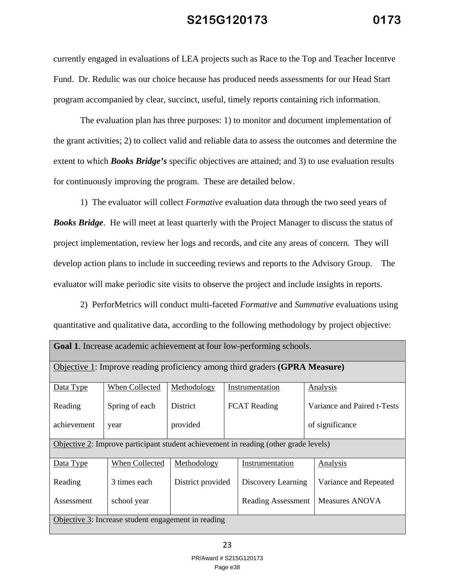currently engaged in evaluations of LEA projects such as Race to the Top and Teacher Incentve Fund. Dr. Redulic was our choice because has produced needs assessments for our Head Start program accompanied by clear, succinct, useful, timely reports containing rich information.

The evaluation plan has three purposes: 1) to monitor and document implementation of the grant activities; 2) to collect valid and reliable data to assess the outcomes and determine the extent to which *Books Bridge's* specific objectives are attained; and 3) to use evaluation results for continuously improving the program. These are detailed below.

 1) The evaluator will collect *Formative* evaluation data through the two seed years of *Books Bridge*. He will meet at least quarterly with the Project Manager to discuss the status of project implementation, review her logs and records, and cite any areas of concern. They will develop action plans to include in succeeding reviews and reports to the Advisory Group. The evaluator will make periodic site visits to observe the project and include insights in reports.

 2) PerforMetrics will conduct multi-faceted *Formative* and *Summative* evaluations using quantitative and qualitative data, according to the following methodology by project objective:

| <b>Goal 1.</b> Increase academic achievement at four low-performing schools. |                |                                        |  |                                                                                      |                             |  |  |
|------------------------------------------------------------------------------|----------------|----------------------------------------|--|--------------------------------------------------------------------------------------|-----------------------------|--|--|
| Objective 1: Improve reading proficiency among third graders (GPRA Measure)  |                |                                        |  |                                                                                      |                             |  |  |
| Data Type                                                                    | When Collected | Methodology                            |  | Instrumentation                                                                      | Analysis                    |  |  |
| Reading                                                                      | Spring of each | <b>District</b><br><b>FCAT Reading</b> |  |                                                                                      | Variance and Paired t-Tests |  |  |
| achievement                                                                  | year           | provided                               |  |                                                                                      | of significance             |  |  |
|                                                                              |                |                                        |  | Objective 2: Improve participant student achievement in reading (other grade levels) |                             |  |  |
| Data Type                                                                    | When Collected | Methodology                            |  | Instrumentation                                                                      | Analysis                    |  |  |
| Reading                                                                      | 3 times each   | District provided                      |  | Discovery Learning                                                                   | Variance and Repeated       |  |  |
| Measures ANOVA<br>school year<br>Assessment<br>Reading Assessment            |                |                                        |  |                                                                                      |                             |  |  |
| Objective 3: Increase student engagement in reading                          |                |                                        |  |                                                                                      |                             |  |  |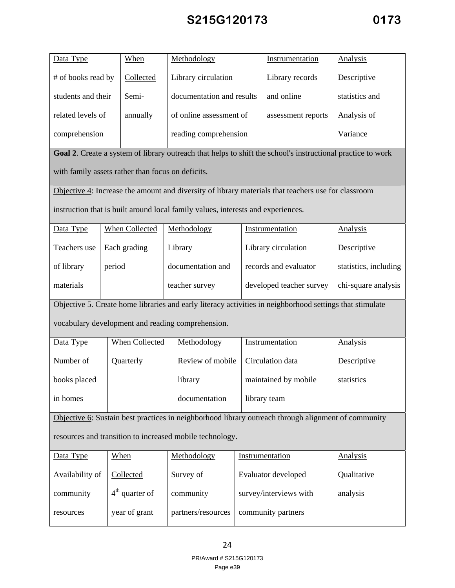| Data Type                                                                                                   |        | <b>When</b>           | Methodology                                       |  | Instrumentation                                                                                          | <b>Analysis</b>       |  |
|-------------------------------------------------------------------------------------------------------------|--------|-----------------------|---------------------------------------------------|--|----------------------------------------------------------------------------------------------------------|-----------------------|--|
| # of books read by                                                                                          |        | Collected             | Library circulation                               |  | Library records                                                                                          | Descriptive           |  |
| students and their                                                                                          |        | Semi-                 | documentation and results                         |  | and online                                                                                               | statistics and        |  |
| related levels of                                                                                           |        | annually              | of online assessment of                           |  | assessment reports                                                                                       | Analysis of           |  |
| comprehension                                                                                               |        |                       | reading comprehension                             |  |                                                                                                          | Variance              |  |
| Goal 2. Create a system of library outreach that helps to shift the school's instructional practice to work |        |                       |                                                   |  |                                                                                                          |                       |  |
| with family assets rather than focus on deficits.                                                           |        |                       |                                                   |  |                                                                                                          |                       |  |
| Objective 4: Increase the amount and diversity of library materials that teachers use for classroom         |        |                       |                                                   |  |                                                                                                          |                       |  |
| instruction that is built around local family values, interests and experiences.                            |        |                       |                                                   |  |                                                                                                          |                       |  |
| Data Type                                                                                                   |        | <b>When Collected</b> | Methodology                                       |  | Instrumentation                                                                                          | <b>Analysis</b>       |  |
| Teachers use                                                                                                |        | Each grading          | Library                                           |  | Library circulation                                                                                      | Descriptive           |  |
| of library                                                                                                  | period |                       | documentation and                                 |  | records and evaluator                                                                                    | statistics, including |  |
| materials                                                                                                   |        |                       | teacher survey                                    |  | developed teacher survey                                                                                 | chi-square analysis   |  |
|                                                                                                             |        |                       |                                                   |  | Objective 5. Create home libraries and early literacy activities in neighborhood settings that stimulate |                       |  |
|                                                                                                             |        |                       | vocabulary development and reading comprehension. |  |                                                                                                          |                       |  |
| Data Type                                                                                                   |        | <b>When Collected</b> | Methodology                                       |  | Instrumentation                                                                                          | <b>Analysis</b>       |  |
| Number of                                                                                                   |        | Quarterly             | Review of mobile                                  |  | Circulation data                                                                                         | Descriptive           |  |
| books placed                                                                                                |        |                       | library                                           |  | maintained by mobile                                                                                     | statistics            |  |
| in homes                                                                                                    |        |                       | documentation                                     |  | library team                                                                                             |                       |  |
|                                                                                                             |        |                       |                                                   |  | Objective 6: Sustain best practices in neighborhood library outreach through alignment of community      |                       |  |
| resources and transition to increased mobile technology.                                                    |        |                       |                                                   |  |                                                                                                          |                       |  |
| Data Type                                                                                                   |        | When                  | Methodology                                       |  | Instrumentation                                                                                          | Analysis              |  |
| Availability of                                                                                             |        | Collected             | Survey of                                         |  | Evaluator developed                                                                                      | Qualitative           |  |
| community                                                                                                   |        | $4th$ quarter of      | community                                         |  | survey/interviews with                                                                                   | analysis              |  |
| resources                                                                                                   |        | year of grant         | partners/resources                                |  | community partners                                                                                       |                       |  |